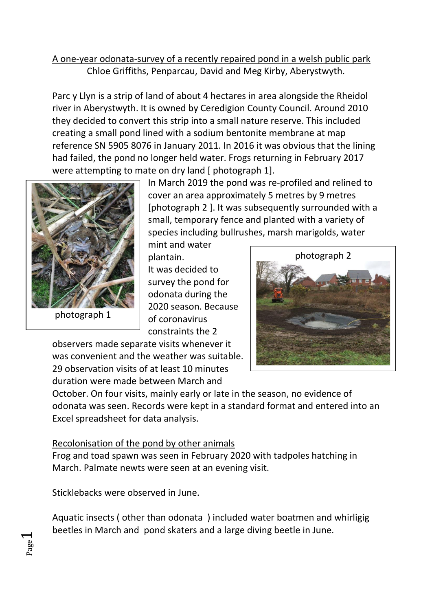## A one-year odonata-survey of a recently repaired pond in a welsh public park Chloe Griffiths, Penparcau, David and Meg Kirby, Aberystwyth.

Parc y Llyn is a strip of land of about 4 hectares in area alongside the Rheidol river in Aberystwyth. It is owned by Ceredigion County Council. Around 2010 they decided to convert this strip into a small nature reserve. This included creating a small pond lined with a sodium bentonite membrane at map reference SN 5905 8076 in January 2011. In 2016 it was obvious that the lining had failed, the pond no longer held water. Frogs returning in February 2017 were attempting to mate on dry land [ photograph 1].



In March 2019 the pond was re-profiled and relined to cover an area approximately 5 metres by 9 metres [photograph 2 ]. It was subsequently surrounded with a small, temporary fence and planted with a variety of species including bullrushes, marsh marigolds, water

mint and water plantain. It was decided to survey the pond for odonata during the 2020 season. Because of coronavirus constraints the 2



observers made separate visits whenever it was convenient and the weather was suitable. 29 observation visits of at least 10 minutes duration were made between March and

October. On four visits, mainly early or late in the season, no evidence of odonata was seen. Records were kept in a standard format and entered into an Excel spreadsheet for data analysis.

## Recolonisation of the pond by other animals

Frog and toad spawn was seen in February 2020 with tadpoles hatching in March. Palmate newts were seen at an evening visit.

Sticklebacks were observed in June.

Page  $\overline{\phantom{0}}$ 

Aquatic insects ( other than odonata ) included water boatmen and whirligig beetles in March and pond skaters and a large diving beetle in June.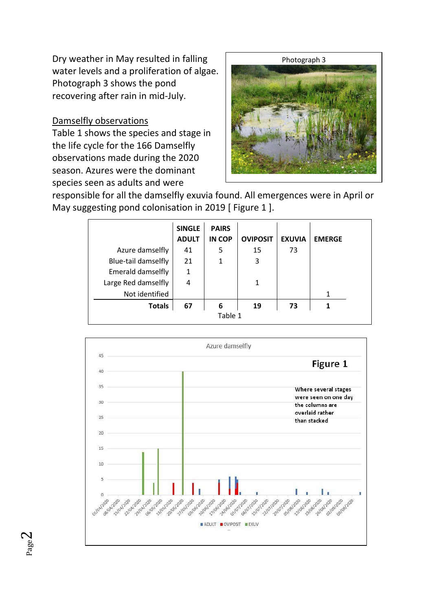Dry weather in May resulted in falling water levels and a proliferation of algae. Photograph 3 shows the pond recovering after rain in mid-July.

## Damselfly observations

Table 1 shows the species and stage in the life cycle for the 166 Damselfly observations made during the 2020 season. Azures were the dominant species seen as adults and were



responsible for all the damselfly exuvia found. All emergences were in April or May suggesting pond colonisation in 2019 [ Figure 1 ].

|                     | <b>SINGLE</b><br><b>ADULT</b> | <b>PAIRS</b><br>IN COP | <b>OVIPOSIT</b> | <b>EXUVIA</b> | <b>EMERGE</b> |  |  |  |
|---------------------|-------------------------------|------------------------|-----------------|---------------|---------------|--|--|--|
| Azure damselfly     | 41                            | 5                      | 15              | 73            |               |  |  |  |
| Blue-tail damselfly | 21                            | 1                      | 3               |               |               |  |  |  |
| Emerald damselfly   | $\mathbf{1}$                  |                        |                 |               |               |  |  |  |
| Large Red damselfly | 4                             |                        | 1               |               |               |  |  |  |
| Not identified      |                               |                        |                 |               | 1             |  |  |  |
| <b>Totals</b>       | 67                            | 6                      | 19              | 73            |               |  |  |  |
| Table 1             |                               |                        |                 |               |               |  |  |  |

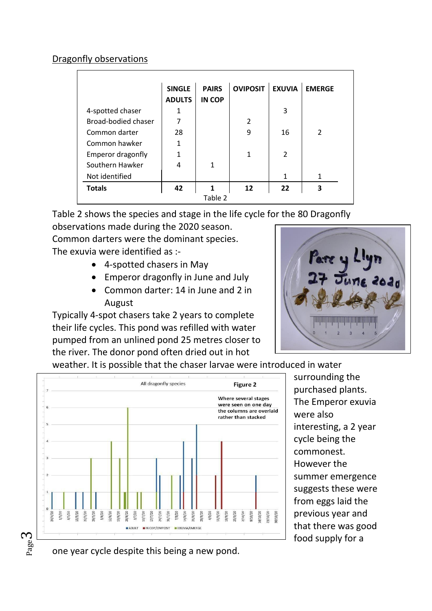## Dragonfly observations

|                          | <b>SINGLE</b> | <b>PAIRS</b>  | <b>OVIPOSIT</b> | <b>EXUVIA</b>  | <b>EMERGE</b>  |  |  |  |  |
|--------------------------|---------------|---------------|-----------------|----------------|----------------|--|--|--|--|
|                          | <b>ADULTS</b> | <b>IN COP</b> |                 |                |                |  |  |  |  |
| 4-spotted chaser         |               |               |                 | 3              |                |  |  |  |  |
| Broad-bodied chaser      | 7             |               | $\mathfrak{p}$  |                |                |  |  |  |  |
| Common darter            | 28            |               | 9               | 16             | $\overline{2}$ |  |  |  |  |
| Common hawker            |               |               |                 |                |                |  |  |  |  |
| <b>Emperor dragonfly</b> |               |               | 1               | $\overline{2}$ |                |  |  |  |  |
| Southern Hawker          | 4             | 1             |                 |                |                |  |  |  |  |
| Not identified           |               |               |                 | 1              | 1              |  |  |  |  |
| <b>Totals</b>            | 42            | 1             | 12              | 22             | 3              |  |  |  |  |
| Table 2                  |               |               |                 |                |                |  |  |  |  |

Table 2 shows the species and stage in the life cycle for the 80 Dragonfly

observations made during the 2020 season.

Common darters were the dominant species.

The exuvia were identified as :-

- 4-spotted chasers in May
- Emperor dragonfly in June and July
- Common darter: 14 in June and 2 in August

Typically 4-spot chasers take 2 years to complete their life cycles. This pond was refilled with water pumped from an unlined pond 25 metres closer to the river. The donor pond often dried out in hot



weather. It is possible that the chaser larvae were introduced in water



surrounding the purchased plants. The Emperor exuvia were also interesting, a 2 year cycle being the commonest. However the summer emergence suggests these were from eggs laid the previous year and that there was good food supply for a